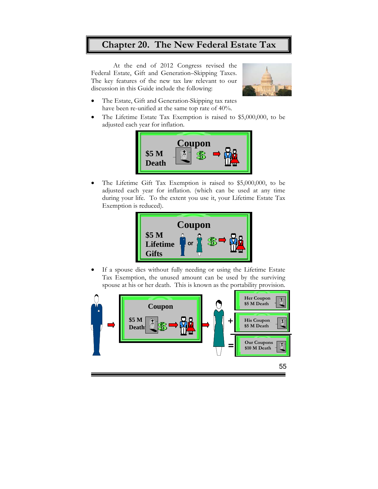## **Chapter 20. The New Federal Estate Tax**

At the end of 2012 Congress revised the Federal Estate, Gift and Generation–Skipping Taxes. The key features of the new tax law relevant to our discussion in this Guide include the following:



- The Estate, Gift and Generation-Skipping tax rates have been re-unified at the same top rate of 40%.
- The Lifetime Estate Tax Exemption is raised to \$5,000,000, to be adjusted each year for inflation.



 The Lifetime Gift Tax Exemption is raised to \$5,000,000, to be adjusted each year for inflation. (which can be used at any time during your life. To the extent you use it, your Lifetime Estate Tax Exemption is reduced).



 If a spouse dies without fully needing or using the Lifetime Estate Tax Exemption, the unused amount can be used by the surviving spouse at his or her death. This is known as the portability provision.